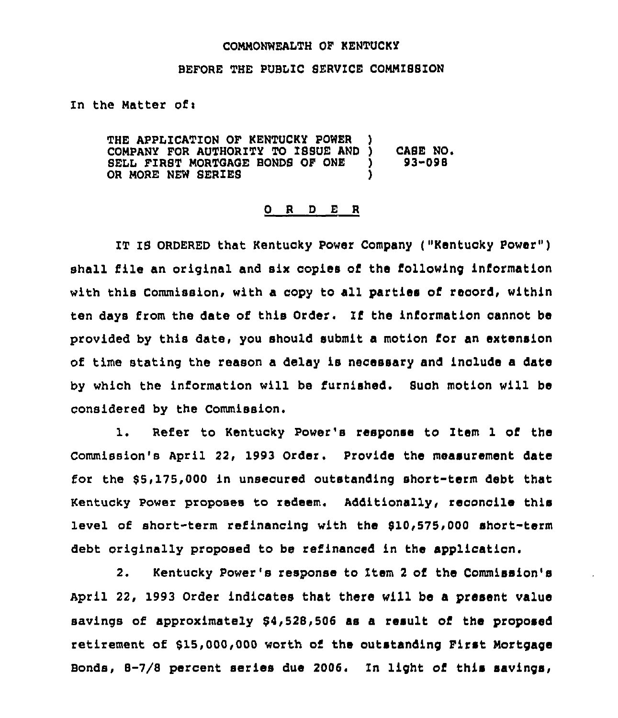## CONNOWWEALTH OF KENTUCKY

## BEFORE THE PUBLIC SERVICE CONNISSION

ln the Natter ofi

THE APPLICATION OF KENTUCKY POWER )<br>COMPANY FOR AUTHORITY TO ISSUE AND ) COMPANY FOR AUTHORITY TO ISSUE AND ) CASE NO.<br>SELL FIRST MORTGAGE BONDS OF ONE ) 93-098 SELL FIRST MORTGAGE BONDS OF ONE )<br>OR MORE NEW SERIES OR MORE NEW SERIES

## 0 <sup>R</sup> <sup>D</sup> E <sup>R</sup>

IT IS ORDERED that Kentucky Power Company ("Kentucky Power" ) shall file an original and six copies of the following information with this Commission, with a copy to all parties of record, within ten days from the date of this Order. If the information cannot be provided by this date, you should submit a motion for an extension of time stating the reason a delay is necessary and include a date by which the information will be furnished. Such motion will be considered by the Commission.

1. Refer to Kentucky Power's response to Item <sup>1</sup> of the commission's April 22, 1993 order. provide the measurement date for the  $$5,175,000$  in unsecured outstanding short-term debt that Kentucky power proposes to redeem. Additionally, reconcile this level of short-term refinancing with the \$10,575,000 short-term debt originally proposed to be refinanced in the application.

2. Kentucky Power's response to Item <sup>2</sup> of the Commission's April 22, 1993 Order indicates that there will be a present value savings of approximately 84,528,506 as a result of the proposed retirement of 815,000,000 worth of the outstanding First Nortgage Bonds,  $B-7/8$  percent series due 2006. In light of this savings,